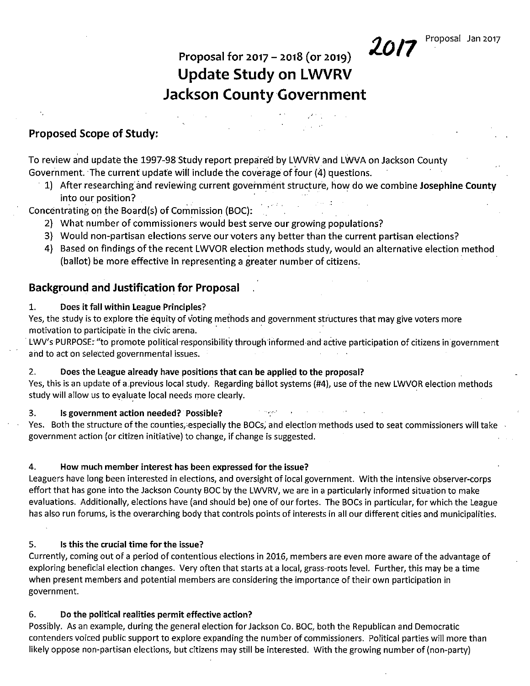# Proposal for 2017 - 2018 (or 2019) **Update Study on LWVRV Jackson** County Government

Proposed Scope of Study:

To review and update the 1997-98 Study report prepared by LWVRV and LWVA on Jackson County Government. The current update will include the coverage of four (4) questions.

1) After researching and reviewing current government structure, how do we combine Josephine County into our position?

Concentrating on the Board{s) of Commission (BOC):

- 2) What number of commissioners would best serve our growing populations?
- 3) Would non-partisan elections serve our voters any better than the current partisan elections?
- 4) Based on findings ofthe recent LWVOR election methods study, would an alternative election method (ballot) be more effective in representing a greater number of citizens.

## Background and Justification for Proposal

1. Does it fall within League Principles?

Yes, the study is to explore the equity of voting methods and government structures that may give voters more motivation to participate in the civic arena. .

LWV's PURPOSE: "to promote political responsibility through informed and active participation of citizens in government and to act on selected governmental issues.

#### 2. Doesthe League already have positions that can be applied to the proposal?

Yes, this is an update of a previous local study. Regarding ballot systems (#4), use of the new LWVOR election methods study will allow us to evaluate local needs more clearly.

3. Is government action needed? Possible?

Yes. Both the structure of the counties, especially the BOCs, and election methods used to seat commissioners will take government action (or citizen initiative) to change, if change is suggested.

#### 4. How much member interest has been expressed for the issue?

Leaguers have long been interested in elections, and oversight of local government. With the intensive observer-corps effort that has gone into the Jackson County BOC by the LWVRV, we are in a particularly informed situation to make evaluations. Additionally, elections have (and should be) one of our fortes. The BOCs in particular; for which the League has also run forums, is the overarching body that controls points of interests in all our different cities and municipalities.

#### 5. Is this the crucial time for the issue?

Currently, coming out of a period of contentious elections in 2016, members are even more aware of the advantage of exploring beneficial election changes. Very often that starts at a local, grass-roots level. Further, this may be a time when present members and potential members are considering the importance of their own participation in government.

#### 6. Do the political realities permit effective action?

Possibly. As an example, during the general election for Jackson Co. BOC, both the Republican and Democratic contenders voiced public support to explore expanding the number of commissioners. Political parties will more than likely oppose non-partisan elections, but citizens may still be interested. With the growing number of (non-party)